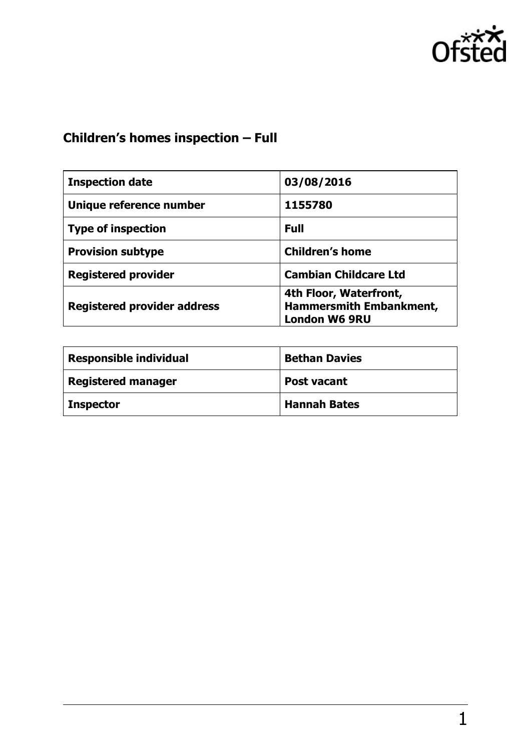

# **Children's homes inspection – Full**

| <b>Inspection date</b>             | 03/08/2016                                                                       |
|------------------------------------|----------------------------------------------------------------------------------|
| Unique reference number            | 1155780                                                                          |
| <b>Type of inspection</b>          | <b>Full</b>                                                                      |
| <b>Provision subtype</b>           | <b>Children's home</b>                                                           |
| <b>Registered provider</b>         | <b>Cambian Childcare Ltd</b>                                                     |
| <b>Registered provider address</b> | 4th Floor, Waterfront,<br><b>Hammersmith Embankment,</b><br><b>London W6 9RU</b> |

| <b>Responsible individual</b> | <b>Bethan Davies</b> |
|-------------------------------|----------------------|
| <b>Registered manager</b>     | <b>Post vacant</b>   |
| <b>Inspector</b>              | <b>Hannah Bates</b>  |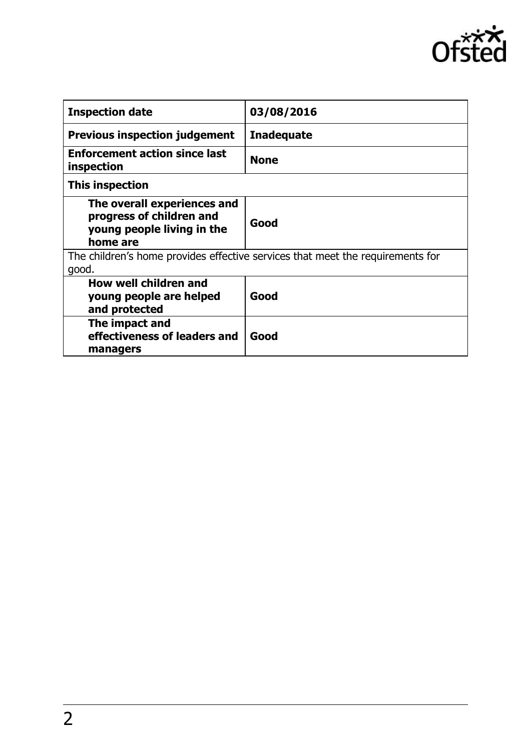

| <b>Inspection date</b>                                                                            | 03/08/2016        |
|---------------------------------------------------------------------------------------------------|-------------------|
| <b>Previous inspection judgement</b>                                                              | <b>Inadequate</b> |
| <b>Enforcement action since last</b><br>inspection                                                | <b>None</b>       |
| This inspection                                                                                   |                   |
| The overall experiences and<br>progress of children and<br>young people living in the<br>home are | Good              |
| The children's home provides effective services that meet the requirements for<br>good.           |                   |
| How well children and<br>young people are helped<br>and protected                                 | Good              |
| The impact and<br>effectiveness of leaders and<br>managers                                        | Good              |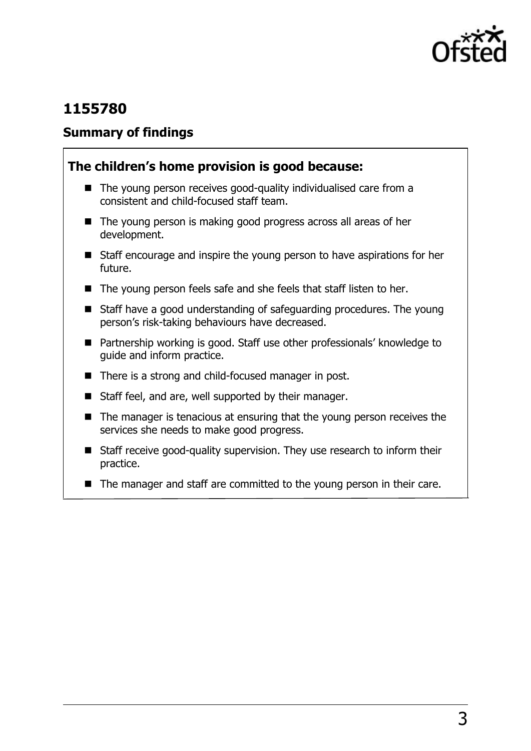

# **1155780**

#### **Summary of findings**

#### **The children's home provision is good because:**

- The young person receives good-quality individualised care from a consistent and child-focused staff team.
- The young person is making good progress across all areas of her development.
- Staff encourage and inspire the young person to have aspirations for her future.
- The young person feels safe and she feels that staff listen to her.
- Staff have a good understanding of safeguarding procedures. The young person's risk-taking behaviours have decreased.
- Partnership working is good. Staff use other professionals' knowledge to guide and inform practice.
- There is a strong and child-focused manager in post.
- Staff feel, and are, well supported by their manager.
- The manager is tenacious at ensuring that the young person receives the services she needs to make good progress.
- Staff receive good-quality supervision. They use research to inform their practice.
- $\blacksquare$  The manager and staff are committed to the young person in their care.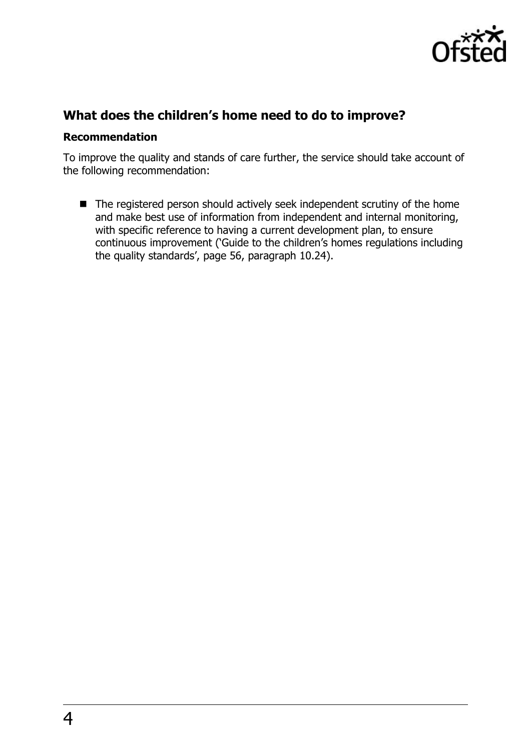

#### **What does the children's home need to do to improve?**

#### **Recommendation**

To improve the quality and stands of care further, the service should take account of the following recommendation:

■ The registered person should actively seek independent scrutiny of the home and make best use of information from independent and internal monitoring, with specific reference to having a current development plan, to ensure continuous improvement ('Guide to the children's homes regulations including the quality standards', page 56, paragraph 10.24).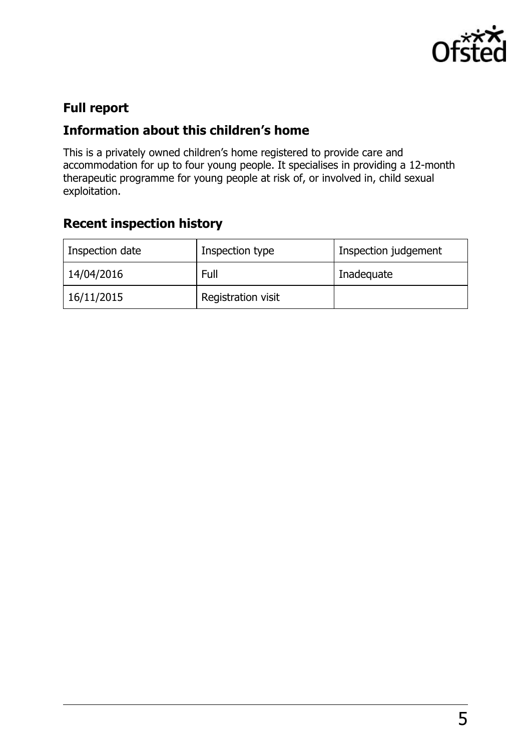

# **Full report**

### **Information about this children's home**

This is a privately owned children's home registered to provide care and accommodation for up to four young people. It specialises in providing a 12-month therapeutic programme for young people at risk of, or involved in, child sexual exploitation.

# **Recent inspection history**

| Inspection date | Inspection type    | Inspection judgement |
|-----------------|--------------------|----------------------|
| 14/04/2016      | Full               | Inadequate           |
| 16/11/2015      | Registration visit |                      |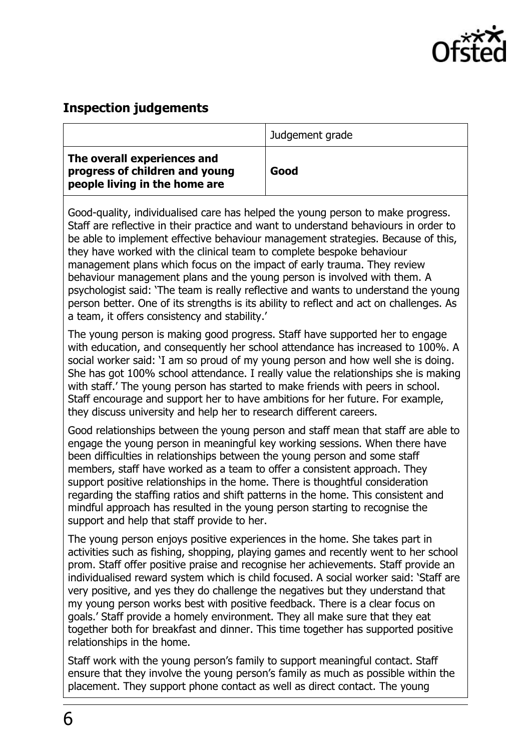

#### **Inspection judgements**

|                                                                                                | Judgement grade |
|------------------------------------------------------------------------------------------------|-----------------|
| The overall experiences and<br>progress of children and young<br>people living in the home are | Good            |

Good-quality, individualised care has helped the young person to make progress. Staff are reflective in their practice and want to understand behaviours in order to be able to implement effective behaviour management strategies. Because of this, they have worked with the clinical team to complete bespoke behaviour management plans which focus on the impact of early trauma. They review behaviour management plans and the young person is involved with them. A psychologist said: 'The team is really reflective and wants to understand the young person better. One of its strengths is its ability to reflect and act on challenges. As a team, it offers consistency and stability.'

The young person is making good progress. Staff have supported her to engage with education, and consequently her school attendance has increased to 100%. A social worker said: 'I am so proud of my young person and how well she is doing. She has got 100% school attendance. I really value the relationships she is making with staff.' The young person has started to make friends with peers in school. Staff encourage and support her to have ambitions for her future. For example, they discuss university and help her to research different careers.

Good relationships between the young person and staff mean that staff are able to engage the young person in meaningful key working sessions. When there have been difficulties in relationships between the young person and some staff members, staff have worked as a team to offer a consistent approach. They support positive relationships in the home. There is thoughtful consideration regarding the staffing ratios and shift patterns in the home. This consistent and mindful approach has resulted in the young person starting to recognise the support and help that staff provide to her.

The young person enjoys positive experiences in the home. She takes part in activities such as fishing, shopping, playing games and recently went to her school prom. Staff offer positive praise and recognise her achievements. Staff provide an individualised reward system which is child focused. A social worker said: 'Staff are very positive, and yes they do challenge the negatives but they understand that my young person works best with positive feedback. There is a clear focus on goals.' Staff provide a homely environment. They all make sure that they eat together both for breakfast and dinner. This time together has supported positive relationships in the home.

Staff work with the young person's family to support meaningful contact. Staff ensure that they involve the young person's family as much as possible within the placement. They support phone contact as well as direct contact. The young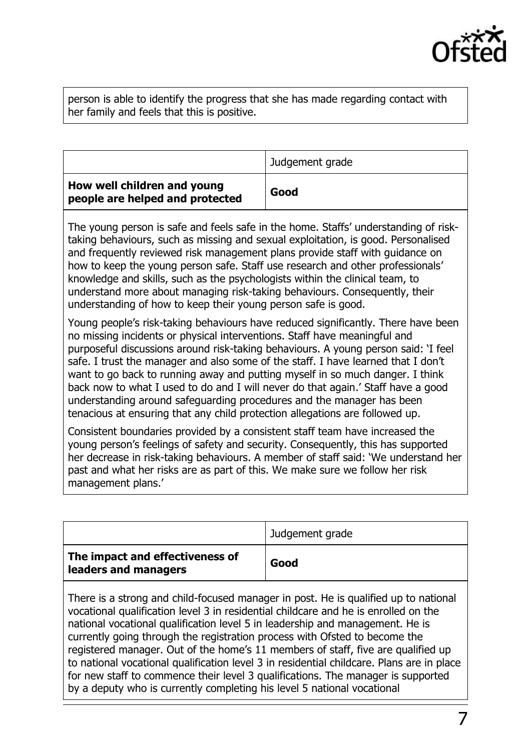

person is able to identify the progress that she has made regarding contact with her family and feels that this is positive.

|                                                                | Judgement grade |
|----------------------------------------------------------------|-----------------|
| How well children and young<br>people are helped and protected | Good            |

The young person is safe and feels safe in the home. Staffs' understanding of risktaking behaviours, such as missing and sexual exploitation, is good. Personalised and frequently reviewed risk management plans provide staff with guidance on how to keep the young person safe. Staff use research and other professionals' knowledge and skills, such as the psychologists within the clinical team, to understand more about managing risk-taking behaviours. Consequently, their understanding of how to keep their young person safe is good.

Young people's risk-taking behaviours have reduced significantly. There have been no missing incidents or physical interventions. Staff have meaningful and purposeful discussions around risk-taking behaviours. A young person said: 'I feel safe. I trust the manager and also some of the staff. I have learned that I don't want to go back to running away and putting myself in so much danger. I think back now to what I used to do and I will never do that again.' Staff have a good understanding around safeguarding procedures and the manager has been tenacious at ensuring that any child protection allegations are followed up.

Consistent boundaries provided by a consistent staff team have increased the young person's feelings of safety and security. Consequently, this has supported her decrease in risk-taking behaviours. A member of staff said: 'We understand her past and what her risks are as part of this. We make sure we follow her risk management plans.'

|                                                         | Judgement grade |
|---------------------------------------------------------|-----------------|
| The impact and effectiveness of<br>leaders and managers | Good            |

There is a strong and child-focused manager in post. He is qualified up to national vocational qualification level 3 in residential childcare and he is enrolled on the national vocational qualification level 5 in leadership and management. He is currently going through the registration process with Ofsted to become the registered manager. Out of the home's 11 members of staff, five are qualified up to national vocational qualification level 3 in residential childcare. Plans are in place for new staff to commence their level 3 qualifications. The manager is supported by a deputy who is currently completing his level 5 national vocational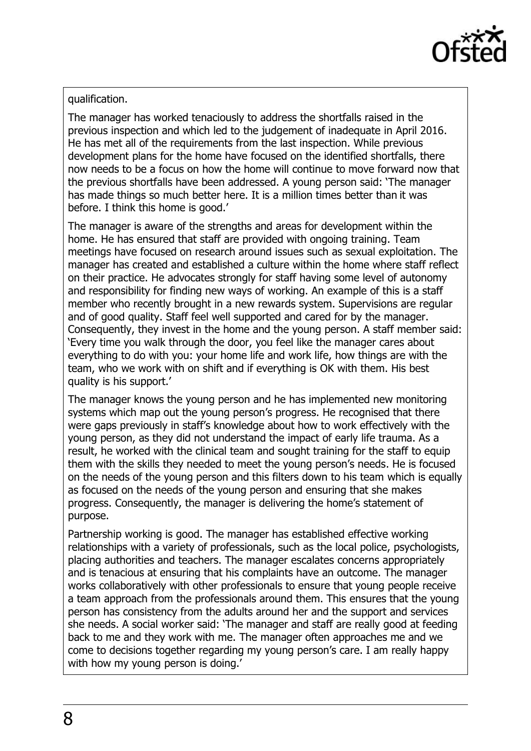

#### qualification.

The manager has worked tenaciously to address the shortfalls raised in the previous inspection and which led to the judgement of inadequate in April 2016. He has met all of the requirements from the last inspection. While previous development plans for the home have focused on the identified shortfalls, there now needs to be a focus on how the home will continue to move forward now that the previous shortfalls have been addressed. A young person said: 'The manager has made things so much better here. It is a million times better than it was before. I think this home is good.'

The manager is aware of the strengths and areas for development within the home. He has ensured that staff are provided with ongoing training. Team meetings have focused on research around issues such as sexual exploitation. The manager has created and established a culture within the home where staff reflect on their practice. He advocates strongly for staff having some level of autonomy and responsibility for finding new ways of working. An example of this is a staff member who recently brought in a new rewards system. Supervisions are regular and of good quality. Staff feel well supported and cared for by the manager. Consequently, they invest in the home and the young person. A staff member said: 'Every time you walk through the door, you feel like the manager cares about everything to do with you: your home life and work life, how things are with the team, who we work with on shift and if everything is OK with them. His best quality is his support.'

The manager knows the young person and he has implemented new monitoring systems which map out the young person's progress. He recognised that there were gaps previously in staff's knowledge about how to work effectively with the young person, as they did not understand the impact of early life trauma. As a result, he worked with the clinical team and sought training for the staff to equip them with the skills they needed to meet the young person's needs. He is focused on the needs of the young person and this filters down to his team which is equally as focused on the needs of the young person and ensuring that she makes progress. Consequently, the manager is delivering the home's statement of purpose.

Partnership working is good. The manager has established effective working relationships with a variety of professionals, such as the local police, psychologists, placing authorities and teachers. The manager escalates concerns appropriately and is tenacious at ensuring that his complaints have an outcome. The manager works collaboratively with other professionals to ensure that young people receive a team approach from the professionals around them. This ensures that the young person has consistency from the adults around her and the support and services she needs. A social worker said: 'The manager and staff are really good at feeding back to me and they work with me. The manager often approaches me and we come to decisions together regarding my young person's care. I am really happy with how my young person is doing.'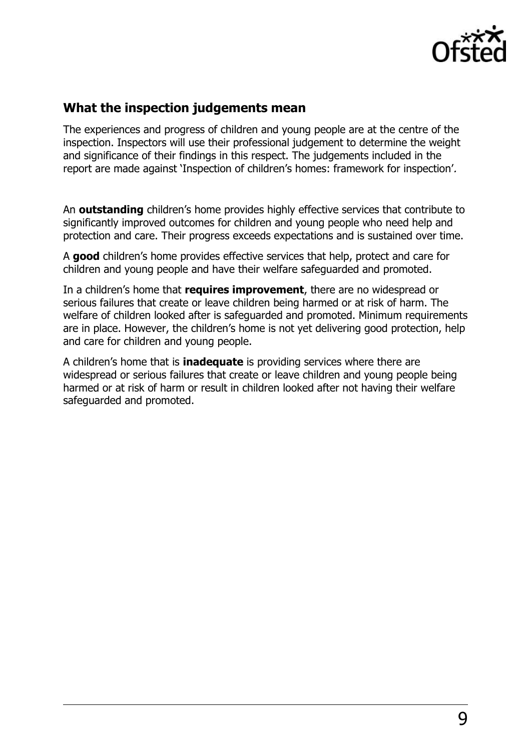

#### **What the inspection judgements mean**

The experiences and progress of children and young people are at the centre of the inspection. Inspectors will use their professional judgement to determine the weight and significance of their findings in this respect. The judgements included in the report are made against 'Inspection of children's homes: framework for inspection'.

An **outstanding** children's home provides highly effective services that contribute to significantly improved outcomes for children and young people who need help and protection and care. Their progress exceeds expectations and is sustained over time.

A **good** children's home provides effective services that help, protect and care for children and young people and have their welfare safeguarded and promoted.

In a children's home that **requires improvement**, there are no widespread or serious failures that create or leave children being harmed or at risk of harm. The welfare of children looked after is safeguarded and promoted. Minimum requirements are in place. However, the children's home is not yet delivering good protection, help and care for children and young people.

A children's home that is **inadequate** is providing services where there are widespread or serious failures that create or leave children and young people being harmed or at risk of harm or result in children looked after not having their welfare safeguarded and promoted.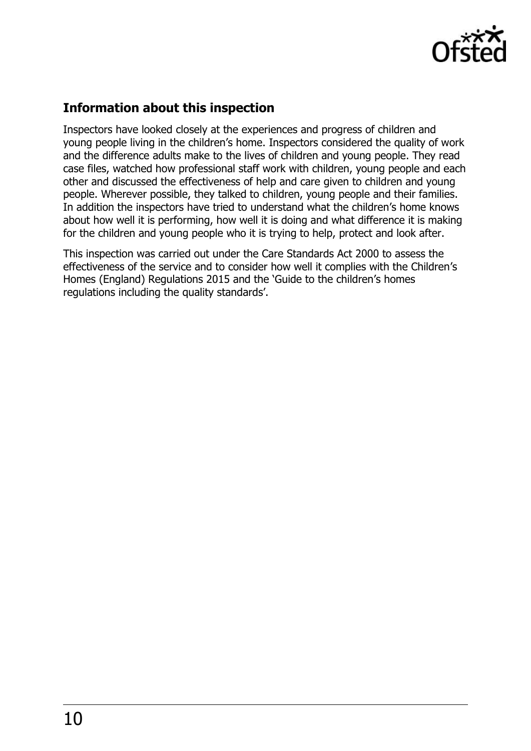

## **Information about this inspection**

Inspectors have looked closely at the experiences and progress of children and young people living in the children's home. Inspectors considered the quality of work and the difference adults make to the lives of children and young people. They read case files, watched how professional staff work with children, young people and each other and discussed the effectiveness of help and care given to children and young people. Wherever possible, they talked to children, young people and their families. In addition the inspectors have tried to understand what the children's home knows about how well it is performing, how well it is doing and what difference it is making for the children and young people who it is trying to help, protect and look after.

This inspection was carried out under the Care Standards Act 2000 to assess the effectiveness of the service and to consider how well it complies with the Children's Homes (England) Regulations 2015 and the 'Guide to the children's homes regulations including the quality standards'.